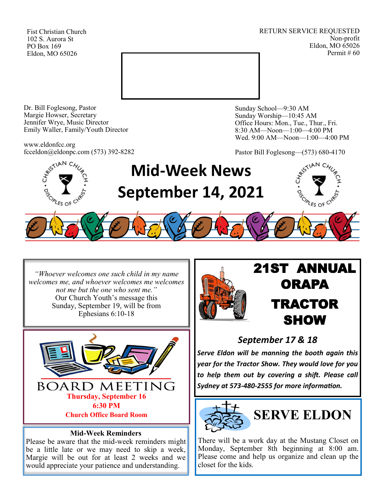Fist Christian Church 102 S. Aurora St PO Box 169 Eldon, MO 65026

RETURN SERVICE REQUESTED Non-profit Eldon, MO 65026 Permit # 60



Dr. Bill Foglesong, Pastor Margie Howser, Secretary Jennifer Wrye, Music Director Emily Waller, Family/Youth Director

www.eldonfcc.org fcceldon@eldonpc.com (573) 392-8282 Sunday School—9:30 AM Sunday Worship—10:45 AM Office Hours: Mon., Tue., Thur., Fri. 8:30 AM—Noon—1:00—4:00 PM Wed. 9:00 AM—Noon—1:00—4:00 PM

Pastor Bill Foglesong—(573) 680-4170



*"Whoever welcomes one such child in my name welcomes me, and whoever welcomes me welcomes not me but the one who sent me."* Our Church Youth's message this Sunday, September 19, will be from Ephesians 6:10-18



### **Mid-Week Reminders**

Please be aware that the mid-week reminders might be a little late or we may need to skip a week, Margie will be out for at least 2 weeks and we would appreciate your patience and understanding.



# 21ST ANNUAL **ORAPA** TRACTOR SHOW

## *September 17 & 18*

*Serve Eldon will be manning the booth again this year for the Tractor Show. They would love for you to help them out by covering a shift. Please call Sydney at 573-480-2555 for more information.*



There will be a work day at the Mustang Closet on Monday, September 8th beginning at 8:00 am. Please come and help us organize and clean up the closet for the kids.